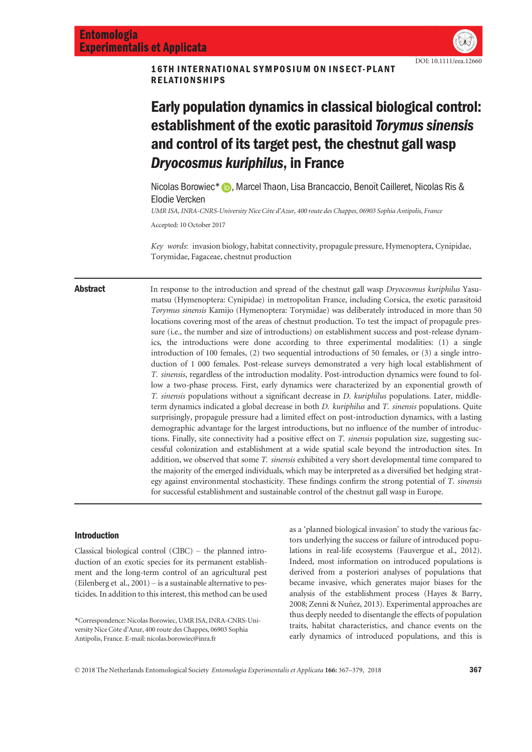DOI: 10.1111/eea.12660

16TH INTERNATIONAL SYMPOSIUM ON INSECT-PLANT RELATIONSHIPS

# Early population dynamics in classical biological control: establishment of the exotic parasitoid Torymus sinensis and control of its target pest, the chestnut gall wasp Dryocosmus kuriphilus, in France

Nicolas Borowiec[\\*](http://orcid.org/0000-0002-7688-5402) **D**, Marcel Thaon, Lisa Brancaccio, Benoît Cailleret, Nicolas Ris & Elodie Vercken

UMR ISA, INRA-CNRS-University Nice C^ote d'Azur, 400 route des Chappes, 06903 Sophia Antipolis, France

Accepted: 10 October 2017

Key words: invasion biology, habitat connectivity, propagule pressure, Hymenoptera, Cynipidae, Torymidae, Fagaceae, chestnut production

Abstract In response to the introduction and spread of the chestnut gall wasp Dryocosmus kuriphilus Yasumatsu (Hymenoptera: Cynipidae) in metropolitan France, including Corsica, the exotic parasitoid Torymus sinensis Kamijo (Hymenoptera: Torymidae) was deliberately introduced in more than 50 locations covering most of the areas of chestnut production. To test the impact of propagule pressure (i.e., the number and size of introductions) on establishment success and post-release dynamics, the introductions were done according to three experimental modalities: (1) a single introduction of 100 females, (2) two sequential introductions of 50 females, or (3) a single introduction of 1 000 females. Post-release surveys demonstrated a very high local establishment of T. sinensis, regardless of the introduction modality. Post-introduction dynamics were found to follow a two-phase process. First, early dynamics were characterized by an exponential growth of T. sinensis populations without a significant decrease in D. kuriphilus populations. Later, middleterm dynamics indicated a global decrease in both D. kuriphilus and T. sinensis populations. Quite surprisingly, propagule pressure had a limited effect on post-introduction dynamics, with a lasting demographic advantage for the largest introductions, but no influence of the number of introductions. Finally, site connectivity had a positive effect on T. *sinensis* population size, suggesting successful colonization and establishment at a wide spatial scale beyond the introduction sites. In addition, we observed that some T. sinensis exhibited a very short developmental time compared to the majority of the emerged individuals, which may be interpreted as a diversified bet hedging strategy against environmental stochasticity. These findings confirm the strong potential of T. sinensis for successful establishment and sustainable control of the chestnut gall wasp in Europe.

# Introduction

Classical biological control (ClBC) – the planned introduction of an exotic species for its permanent establishment and the long-term control of an agricultural pest (Eilenberg et al., 2001) – is a sustainable alternative to pesticides. In addition to this interest, this method can be used

\*Correspondence: Nicolas Borowiec, UMR ISA, INRA-CNRS-University Nice Côte d'Azur, 400 route des Chappes, 06903 Sophia Antipolis, France. E-mail: nicolas.borowiec@inra.fr

as a 'planned biological invasion' to study the various factors underlying the success or failure of introduced populations in real-life ecosystems (Fauvergue et al., 2012). Indeed, most information on introduced populations is derived from a posteriori analyses of populations that became invasive, which generates major biases for the analysis of the establishment process (Hayes & Barry, 2008; Zenni & Nunez, 2013). Experimental approaches are ~ thus deeply needed to disentangle the effects of population traits, habitat characteristics, and chance events on the early dynamics of introduced populations, and this is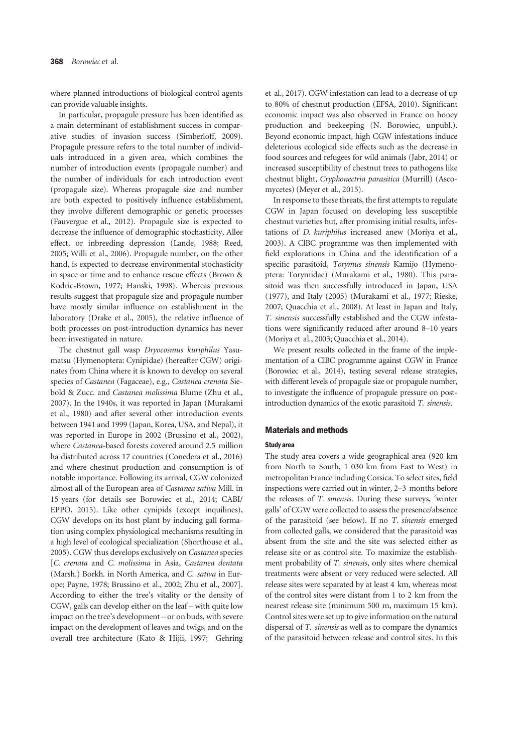where planned introductions of biological control agents can provide valuable insights.

In particular, propagule pressure has been identified as a main determinant of establishment success in comparative studies of invasion success (Simberloff, 2009). Propagule pressure refers to the total number of individuals introduced in a given area, which combines the number of introduction events (propagule number) and the number of individuals for each introduction event (propagule size). Whereas propagule size and number are both expected to positively influence establishment, they involve different demographic or genetic processes (Fauvergue et al., 2012). Propagule size is expected to decrease the influence of demographic stochasticity, Allee effect, or inbreeding depression (Lande, 1988; Reed, 2005; Willi et al., 2006). Propagule number, on the other hand, is expected to decrease environmental stochasticity in space or time and to enhance rescue effects (Brown & Kodric-Brown, 1977; Hanski, 1998). Whereas previous results suggest that propagule size and propagule number have mostly similar influence on establishment in the laboratory (Drake et al., 2005), the relative influence of both processes on post-introduction dynamics has never been investigated in nature.

The chestnut gall wasp Dryocosmus kuriphilus Yasumatsu (Hymenoptera: Cynipidae) (hereafter CGW) originates from China where it is known to develop on several species of Castanea (Fagaceae), e.g., Castanea crenata Siebold & Zucc. and Castanea molissima Blume (Zhu et al., 2007). In the 1940s, it was reported in Japan (Murakami et al., 1980) and after several other introduction events between 1941 and 1999 (Japan, Korea, USA, and Nepal), it was reported in Europe in 2002 (Brussino et al., 2002), where Castanea-based forests covered around 2.5 million ha distributed across 17 countries (Conedera et al., 2016) and where chestnut production and consumption is of notable importance. Following its arrival, CGW colonized almost all of the European area of Castanea sativa Mill. in 15 years (for details see Borowiec et al., 2014; CABI/ EPPO, 2015). Like other cynipids (except inquilines), CGW develops on its host plant by inducing gall formation using complex physiological mechanisms resulting in a high level of ecological specialization (Shorthouse et al., 2005). CGW thus develops exclusively on Castanea species [C. crenata and C. molissima in Asia, Castanea dentata (Marsh.) Borkh. in North America, and C. sativa in Europe; Payne, 1978; Brussino et al., 2002; Zhu et al., 2007]. According to either the tree's vitality or the density of CGW, galls can develop either on the leaf – with quite low impact on the tree's development – or on buds, with severe impact on the development of leaves and twigs, and on the overall tree architecture (Kato & Hijii, 1997; Gehring

et al., 2017). CGW infestation can lead to a decrease of up to 80% of chestnut production (EFSA, 2010). Significant economic impact was also observed in France on honey production and beekeeping (N. Borowiec, unpubl.). Beyond economic impact, high CGW infestations induce deleterious ecological side effects such as the decrease in food sources and refugees for wild animals (Jabr, 2014) or increased susceptibility of chestnut trees to pathogens like chestnut blight, Cryphonectria parasitica (Murrill) (Ascomycetes) (Meyer et al., 2015).

In response to these threats, the first attempts to regulate CGW in Japan focused on developing less susceptible chestnut varieties but, after promising initial results, infestations of D. kuriphilus increased anew (Moriya et al., 2003). A ClBC programme was then implemented with field explorations in China and the identification of a specific parasitoid, Torymus sinensis Kamijo (Hymenoptera: Torymidae) (Murakami et al., 1980). This parasitoid was then successfully introduced in Japan, USA (1977), and Italy (2005) (Murakami et al., 1977; Rieske, 2007; Quacchia et al., 2008). At least in Japan and Italy, T. sinensis successfully established and the CGW infestations were significantly reduced after around 8–10 years (Moriya et al., 2003; Quacchia et al., 2014).

We present results collected in the frame of the implementation of a ClBC programme against CGW in France (Borowiec et al., 2014), testing several release strategies, with different levels of propagule size or propagule number, to investigate the influence of propagule pressure on postintroduction dynamics of the exotic parasitoid T. sinensis.

# Materials and methods

### Study area

The study area covers a wide geographical area (920 km from North to South, 1 030 km from East to West) in metropolitan France including Corsica. To select sites, field inspections were carried out in winter, 2–3 months before the releases of T. sinensis. During these surveys, 'winter galls' of CGW were collected to assess the presence/absence of the parasitoid (see below). If no T. sinensis emerged from collected galls, we considered that the parasitoid was absent from the site and the site was selected either as release site or as control site. To maximize the establishment probability of T. sinensis, only sites where chemical treatments were absent or very reduced were selected. All release sites were separated by at least 4 km, whereas most of the control sites were distant from 1 to 2 km from the nearest release site (minimum 500 m, maximum 15 km). Control sites were set up to give information on the natural dispersal of T. sinensis as well as to compare the dynamics of the parasitoid between release and control sites. In this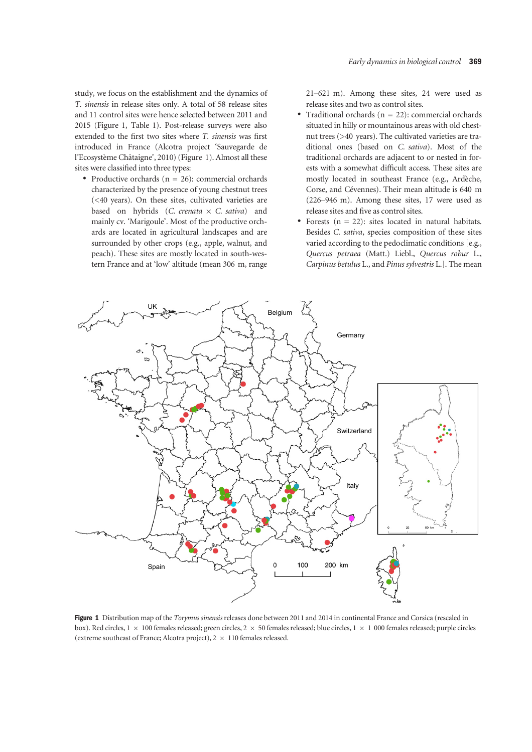study, we focus on the establishment and the dynamics of T. sinensis in release sites only. A total of 58 release sites and 11 control sites were hence selected between 2011 and 2015 (Figure 1, Table 1). Post-release surveys were also extended to the first two sites where T. sinensis was first introduced in France (Alcotra project 'Sauvegarde de l'Ecosystème Châtaigne', 2010) (Figure 1). Almost all these sites were classified into three types:

• Productive orchards ( $n = 26$ ): commercial orchards characterized by the presence of young chestnut trees (<40 years). On these sites, cultivated varieties are based on hybrids (*C. crenata*  $\times$  *C. sativa*) and mainly cv. 'Marigoule'. Most of the productive orchards are located in agricultural landscapes and are surrounded by other crops (e.g., apple, walnut, and peach). These sites are mostly located in south-western France and at 'low' altitude (mean 306 m, range 21–621 m). Among these sites, 24 were used as release sites and two as control sites.

- Traditional orchards ( $n = 22$ ): commercial orchards situated in hilly or mountainous areas with old chestnut trees (>40 years). The cultivated varieties are traditional ones (based on C. sativa). Most of the traditional orchards are adjacent to or nested in forests with a somewhat difficult access. These sites are mostly located in southeast France (e.g., Ardèche, Corse, and Cévennes). Their mean altitude is 640 m (226–946 m). Among these sites, 17 were used as release sites and five as control sites.
- Forests  $(n = 22)$ : sites located in natural habitats. Besides C. sativa, species composition of these sites varied according to the pedoclimatic conditions [e.g., Quercus petraea (Matt.) Liebl., Quercus robur L., Carpinus betulus L., and Pinus sylvestris L.]. The mean



Figure 1 Distribution map of the Torymus sinensis releases done between 2011 and 2014 in continental France and Corsica (rescaled in box). Red circles,  $1 \times 100$  females released; green circles, 2  $\times$  50 females released; blue circles,  $1 \times 1000$  females released; purple circles (extreme southeast of France; Alcotra project),  $2 \times 110$  females released.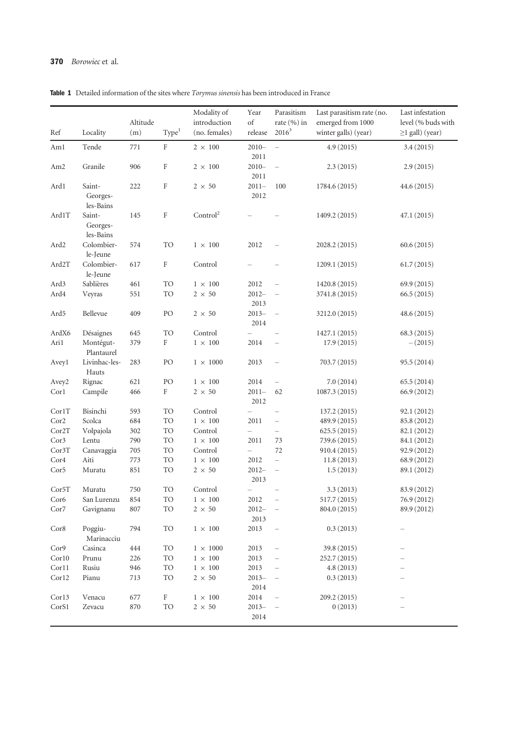Table 1 Detailed information of the sites where Torymus sinensis has been introduced in France

| Ref              | Locality                        | Altitude<br>(m) | Type <sup>1</sup> | Modality of<br>introduction<br>(no. females) | Year<br>of<br>release    | Parasitism<br>rate (%) in<br>$2016^3$ | Last parasitism rate (no.<br>emerged from 1000<br>winter galls) (year) | Last infestation<br>level (% buds with<br>$\geq$ 1 gall) (year) |
|------------------|---------------------------------|-----------------|-------------------|----------------------------------------------|--------------------------|---------------------------------------|------------------------------------------------------------------------|-----------------------------------------------------------------|
| Am1              | Tende                           | 771             | $\rm F$           | $2 \times 100$                               | $2010 -$                 | $\equiv$                              | 4.9(2015)                                                              | 3.4(2015)                                                       |
| Am <sub>2</sub>  | Granile                         | 906             | $\rm F$           | $2 \times 100$                               | 2011<br>$2010 -$<br>2011 | $\hspace{1.0cm} - \hspace{1.0cm}$     | 2.3(2015)                                                              | 2.9(2015)                                                       |
| Ard1             | Saint-<br>Georges-<br>les-Bains | 222             | $\rm F$           | $2 \times 50$                                | $2011 -$<br>2012         | 100                                   | 1784.6 (2015)                                                          | 44.6 (2015)                                                     |
| Ard1T            | Saint-<br>Georges-<br>les-Bains | 145             | $\rm F$           | Control <sup>2</sup>                         |                          |                                       | 1409.2 (2015)                                                          | 47.1(2015)                                                      |
| Ard2             | Colombier-<br>le-Jeune          | 574             | <b>TO</b>         | $1 \times 100$                               | 2012                     | $\qquad \qquad -$                     | 2028.2 (2015)                                                          | 60.6(2015)                                                      |
| Ard2T            | Colombier-<br>le-Jeune          | 617             | $\rm F$           | Control                                      |                          |                                       | 1209.1 (2015)                                                          | 61.7(2015)                                                      |
| Ard <sub>3</sub> | Sablières                       | 461             | <b>TO</b>         | $1\,\times\,100$                             | 2012                     | $\qquad \qquad -$                     | 1420.8 (2015)                                                          | 69.9(2015)                                                      |
| Ard4             | Veyras                          | 551             | <b>TO</b>         | $2 \times 50$                                | $2012 -$<br>2013         | $\equiv$                              | 3741.8 (2015)                                                          | 66.5(2015)                                                      |
| Ard5             | Bellevue                        | 409             | PO                | $2 \times 50$                                | $2013-$<br>2014          | $\hspace{1.0cm} - \hspace{1.0cm}$     | 3212.0 (2015)                                                          | 48.6 (2015)                                                     |
| ArdX6            | Désaignes                       | 645             | <b>TO</b>         | Control                                      | $\equiv$                 | $\overline{\phantom{0}}$              | 1427.1 (2015)                                                          | 68.3 (2015)                                                     |
| Ari1             | Montégut-<br>Plantaurel         | 379             | $\rm F$           | $1 \times 100$                               | 2014                     | $\qquad \qquad -$                     | 17.9 (2015)                                                            | $-(2015)$                                                       |
| Aveyl            | Livinhac-les-<br>Hauts          | 283             | PO                | $1 \times 1000$                              | 2013                     | $\overline{\phantom{0}}$              | 703.7 (2015)                                                           | 95.5 (2014)                                                     |
| Avey2            | Rignac                          | 621             | PO                | $1 \times 100$                               | 2014                     | $\hspace{0.1in} -$                    | 7.0(2014)                                                              | 65.5(2014)                                                      |
| Corl             | Campile                         | 466             | $\rm F$           | $2 \times 50$                                | $2011 -$<br>2012         | 62                                    | 1087.3 (2015)                                                          | 66.9 (2012)                                                     |
| CorlT            | Bisinchi                        | 593             | <b>TO</b>         | Control                                      | $\overline{\phantom{0}}$ | $\overline{\phantom{0}}$              | 137.2 (2015)                                                           | 92.1 (2012)                                                     |
| Cor2             | Scolca                          | 684             | TO                | $1 \times 100$                               | 2011                     | $\overline{\phantom{a}}$              | 489.9 (2015)                                                           | 85.8 (2012)                                                     |
| Cor2T            | Volpajola                       | 302             | <b>TO</b>         | Control                                      | $\overline{\phantom{0}}$ | $\qquad \qquad -$                     | 625.5(2015)                                                            | 82.1 (2012)                                                     |
| Cor3             | Lentu                           | 790             | <b>TO</b>         | $1 \times 100$                               | 2011                     | 73                                    | 739.6 (2015)                                                           | 84.1 (2012)                                                     |
| Cor3T            | Canavaggia                      | 705             | <b>TO</b>         | Control                                      | $\equiv$                 | 72                                    | 910.4 (2015)                                                           | 92.9 (2012)                                                     |
| Cor4             | Aiti                            | 773             | <b>TO</b>         | $1 \times 100$                               | 2012                     | $\equiv$                              | 11.8(2013)                                                             | 68.9 (2012)                                                     |
| Cor <sub>5</sub> | Muratu                          | 851             | <b>TO</b>         | $2 \times 50$                                | $2012 -$<br>2013         | $\hspace{0.1in} -$                    | 1.5(2013)                                                              | 89.1 (2012)                                                     |
| Cor5T            | Muratu                          | 750             | <b>TO</b>         | Control                                      |                          |                                       | 3.3(2013)                                                              | 83.9 (2012)                                                     |
| Cor <sub>6</sub> | San Lurenzu                     | 854             | <b>TO</b>         | $1 \times 100$                               | 2012                     |                                       | 517.7 (2015)                                                           | 76.9 (2012)                                                     |
| Cor7             | Gavignanu                       | 807             | <b>TO</b>         | $2\,\times\,50$                              | $2012 -$<br>2013         |                                       | 804.0 (2015)                                                           | 89.9 (2012)                                                     |
| Cor8             | Poggiu-<br>Marinacciu           | 794             | TO                | $1\,\times\,100$                             | 2013                     |                                       | 0.3(2013)                                                              |                                                                 |
| Cor9             | Casinca                         | 444             | <b>TO</b>         | $1\,\times\,1000$                            | 2013                     |                                       | 39.8 (2015)                                                            |                                                                 |
| Corl0            | Prunu                           | 226             | TO                | $1\,\times\,100$                             | 2013                     |                                       | 252.7 (2015)                                                           |                                                                 |
| Corl1            | Rusiu                           | 946             | TO                | $1\,\times\,100$                             | 2013                     |                                       | 4.8(2013)                                                              |                                                                 |
| Cor12            | Pianu                           | 713             | <b>TO</b>         | $2\,\times\,50$                              | $2013-$<br>2014          | $\qquad \qquad -$                     | 0.3(2013)                                                              |                                                                 |
| Cor13            | Venacu                          | 677             | $\rm F$           | $1\,\times\,100$                             | 2014                     | $\qquad \qquad -$                     | 209.2 (2015)                                                           |                                                                 |
| CorS1            | Zevacu                          | 870             | <b>TO</b>         | $2\,\times\,50$                              | $2013 -$<br>2014         |                                       | 0(2013)                                                                |                                                                 |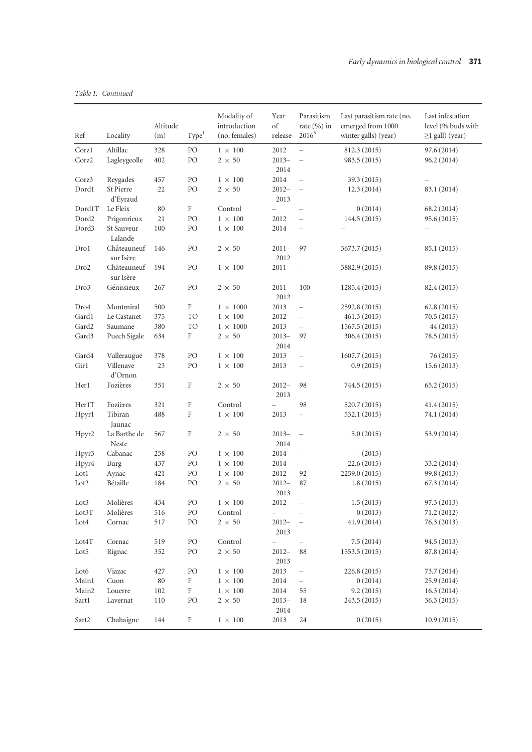Table 1. Continued

| Ref              | Locality                 | Altitude<br>(m) | Type <sup>1</sup>         | Modality of<br>introduction<br>(no. females) | Year<br>of<br>release    | Parasitism<br>rate $(\% )$ in<br>$2016^3$ | Last parasitism rate (no.<br>emerged from 1000<br>winter galls) (year) | Last infestation<br>level (% buds with<br>$\geq$ 1 gall) (year) |
|------------------|--------------------------|-----------------|---------------------------|----------------------------------------------|--------------------------|-------------------------------------------|------------------------------------------------------------------------|-----------------------------------------------------------------|
|                  |                          |                 |                           |                                              |                          |                                           |                                                                        |                                                                 |
| Corzl<br>Corz2   | Altillac<br>Lagleygeolle | 328<br>402      | $\rm PO$<br>PO            | $1\,\times\,100$<br>$2 \times 50$            | 2012<br>$2013 -$         | $\equiv$<br>$\overline{\phantom{0}}$      | 812.3 (2015)<br>983.5 (2015)                                           | 97.6 (2014)<br>96.2 (2014)                                      |
|                  |                          |                 | PO                        | $1 \times 100$                               | 2014<br>2014             | $\qquad \qquad -$                         |                                                                        |                                                                 |
| Corz3<br>Dord1   | Reygades<br>St Pierre    | 457<br>22       | PO                        | $2 \times 50$                                | $2012 -$                 | $\qquad \qquad -$                         | 39.3 (2015)<br>12.3(2014)                                              | 83.1 (2014)                                                     |
|                  | d'Eyraud                 |                 |                           |                                              | 2013                     |                                           |                                                                        |                                                                 |
| Dord1T           | Le Fleix                 | 80              | $\rm F$                   | Control                                      | $\equiv$                 | $\overline{\phantom{0}}$                  | 0(2014)                                                                | 68.2 (2014)                                                     |
| Dord2            | Prigonrieux              | 21              | PO                        | $1 \times 100$                               | 2012                     | $\qquad \qquad -$                         | 144.5 (2015)                                                           | 95.6 (2015)                                                     |
| Dord3            | St Sauveur<br>Lalande    | 100             | PO                        | $1 \times 100$                               | 2014                     | $\qquad \qquad -$                         |                                                                        |                                                                 |
| Dro1             | Châteauneuf<br>sur Isère | 146             | PO                        | $2 \times 50$                                | $2011 -$<br>2012         | 97                                        | 3673.7 (2015)                                                          | 85.1 (2015)                                                     |
| Dro <sub>2</sub> | Châteauneuf<br>sur Isère | 194             | PO                        | $1 \times 100$                               | 2011                     | $\hspace{0.1in} - \hspace{0.1in}$         | 3882.9 (2015)                                                          | 89.8 (2015)                                                     |
| Dro3             | Génissieux               | 267             | PO                        | $2 \times 50$                                | $2011 -$<br>2012         | 100                                       | 1285.4 (2015)                                                          | 82.4 (2015)                                                     |
| Dro4             | Montmiral                | 500             | $\rm F$                   | $1 \times 1000$                              | 2013                     | $\qquad \qquad -$                         | 2592.8 (2015)                                                          | 62.8(2015)                                                      |
| Gard1            | Le Castanet              | 375             | <b>TO</b>                 | $1 \times 100$                               | 2012                     | $\qquad \qquad -$                         | 461.3 (2015)                                                           | 70.5(2015)                                                      |
| Gard2            | Saumane                  | 380             | TO                        | $1 \times 1000$                              | 2013                     | $\qquad \qquad -$                         | 1567.5 (2015)                                                          | 44 (2015)                                                       |
| Gard3            | Puech Sigale             | 634             | F                         | $2 \times 50$                                | $2013 -$<br>2014         | 97                                        | 306.4 (2015)                                                           | 78.5 (2015)                                                     |
| Gard4            | Valleraugue              | 378             | PO                        | $1 \times 100$                               | 2013                     | $\overline{\phantom{0}}$                  | 1607.7 (2015)                                                          | 76 (2015)                                                       |
| Gir1             | Villenave<br>d'Ornon     | 23              | PO                        | $1 \times 100$                               | 2013                     | $\qquad \qquad -$                         | 0.9(2015)                                                              | 15.6(2013)                                                      |
| Her1             | Fozières                 | 351             | F                         | $2 \times 50$                                | $2012 -$<br>2013         | 98                                        | 744.5 (2015)                                                           | 65.2(2015)                                                      |
| Her1T            | Fozières                 | 321             | F                         | Control                                      |                          | 98                                        | 520.7 (2015)                                                           | 41.4(2015)                                                      |
| Hpyr1            | Tibiran<br>Jaunac        | 488             | $\rm F$                   | $1 \times 100$                               | 2013                     | $\equiv$                                  | 532.1 (2015)                                                           | 74.1 (2014)                                                     |
| Hpyr2            | La Barthe de<br>Neste    | 567             | $\rm F$                   | $2 \times 50$                                | $2013 -$<br>2014         | $\qquad \qquad -$                         | 5.0(2015)                                                              | 53.9 (2014)                                                     |
| Hpyr3            | Cabanac                  | 258             | PO                        | $1 \times 100$                               | 2014                     | $\qquad \qquad -$                         | $-(2015)$                                                              |                                                                 |
| Hpyr4            | Burg                     | 437             | PO                        | $1 \times 100$                               | 2014                     | $\equiv$                                  | 22.6(2015)                                                             | 33.2 (2014)                                                     |
| Lot1             | Aynac                    | 421             | PO                        | $1 \times 100$                               | 2012                     | 92                                        | 2259.0 (2015)                                                          | 99.8 (2013)                                                     |
| Lot <sub>2</sub> | Bétaille                 | 184             | PO                        | $2 \times 50$                                | $2012 -$<br>2013         | 87                                        | 1.8(2015)                                                              | 67.3 (2014)                                                     |
| Lot <sub>3</sub> | Molières                 | 434             | PO                        | $1 \times 100$                               | 2012                     | $\qquad \qquad -$                         | 1.5(2013)                                                              | 97.3 (2013)                                                     |
| Lot3T            | Molières                 | 516             | PO                        | Control                                      | $\overline{\phantom{0}}$ |                                           | 0(2013)                                                                | 71.2 (2012)                                                     |
| Lot4             | Cornac                   | 517             | PO                        | $2\,\times\,50$                              | $2012 -$<br>2013         |                                           | 41.9 (2014)                                                            | 76.3 (2013)                                                     |
| Lot4T            | Cornac                   | 519             | PO                        | $\mbox{Control}$                             | -                        | $\qquad \qquad -$                         | 7.5(2014)                                                              | 94.5 (2013)                                                     |
| Lot <sub>5</sub> | Rignac                   | 352             | PO                        | $2 \times 50$                                | $2012 -$<br>2013         | 88                                        | 1553.5 (2015)                                                          | 87.8 (2014)                                                     |
| Lot <sub>6</sub> | Viazac                   | 427             | PO                        | $1\,\times\,100$                             | 2013                     | $\overline{\phantom{0}}$                  | 226.8 (2015)                                                           | 73.7 (2014)                                                     |
| Main1            | Cuon                     | $80\,$          | F                         | $1\,\times\,100$                             | 2014                     | $\qquad \qquad -$                         | 0(2014)                                                                | 25.9 (2014)                                                     |
| Main2            | Louerre                  | 102             | $\rm F$                   | $1\,\times\,100$                             | 2014                     | 55                                        | 9.2(2015)                                                              | 16.3(2014)                                                      |
| Sart1            | Lavernat                 | 110             | PO                        | $2\,\times\,50$                              | $2013 -$<br>2014         | 18                                        | 243.5 (2015)                                                           | 36.3(2015)                                                      |
| Sart2            | Chahaigne                | 144             | $\boldsymbol{\mathrm{F}}$ | $1\,\times\,100$                             | 2013                     | 24                                        | 0(2015)                                                                | 10.9(2015)                                                      |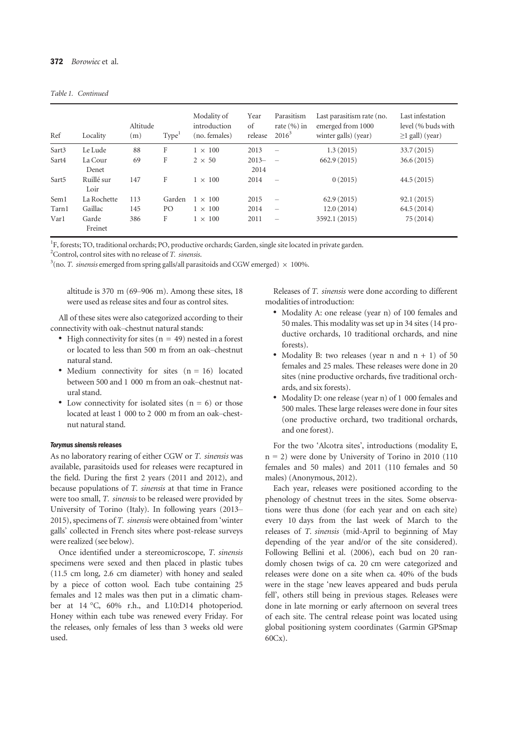| Ref               | Locality           | Altitude<br>(m) | Type <sup>1</sup> | Modality of<br>introduction<br>(no. females) | Year<br>of<br>release | Parasitism<br>rate $(\% )$ in<br>$2016^3$ | Last parasitism rate (no.<br>emerged from 1000<br>winter galls) (year) | Last infestation<br>level (% buds with<br>$\geq$ l gall) (year) |
|-------------------|--------------------|-----------------|-------------------|----------------------------------------------|-----------------------|-------------------------------------------|------------------------------------------------------------------------|-----------------------------------------------------------------|
| Sart3             | Le Lude            | 88              | F                 | $1 \times 100$                               | 2013                  | $\overline{\phantom{0}}$                  | 1.3(2015)                                                              | 33.7(2015)                                                      |
| Sart4             | La Cour            | 69              | F                 | $2 \times 50$                                | $2013-$               | $\overline{\phantom{a}}$                  | 662.9 (2015)                                                           | 36.6(2015)                                                      |
|                   | Denet              |                 |                   |                                              | 2014                  |                                           |                                                                        |                                                                 |
| Sart <sub>5</sub> | Ruillé sur<br>Loir | 147             | F                 | $1 \times 100$                               | 2014                  | $\equiv$                                  | 0(2015)                                                                | 44.5(2015)                                                      |
| Sem1              | La Rochette        | 113             | Garden            | $1 \times 100$                               | 2015                  | $\overline{\phantom{m}}$                  | 62.9(2015)                                                             | 92.1(2015)                                                      |
| Tarn1             | Gaillac            | 145             | PO                | $1 \times 100$                               | 2014                  | $\equiv$                                  | 12.0(2014)                                                             | 64.5(2014)                                                      |
| Var1              | Garde<br>Freinet   | 386             | F                 | $1 \times 100$                               | 2011                  |                                           | 3592.1 (2015)                                                          | 75 (2014)                                                       |

<sup>1</sup>F, forests; TO, traditional orchards; PO, productive orchards; Garden, single site located in private garden.

 $2^2$ Control, control sites with no release of T. sinensis.

 $3$ (no. *T. sinensis* emerged from spring galls/all parasitoids and CGW emerged)  $\times$  100%.

altitude is 370 m (69–906 m). Among these sites, 18 were used as release sites and four as control sites.

All of these sites were also categorized according to their connectivity with oak–chestnut natural stands:

- High connectivity for sites ( $n = 49$ ) nested in a forest or located to less than 500 m from an oak–chestnut natural stand.
- Medium connectivity for sites  $(n = 16)$  located between 500 and 1 000 m from an oak–chestnut natural stand.
- Low connectivity for isolated sites  $(n = 6)$  or those located at least 1 000 to 2 000 m from an oak–chestnut natural stand.

### **Torymus sinensis releases**

As no laboratory rearing of either CGW or T. sinensis was available, parasitoids used for releases were recaptured in the field. During the first 2 years (2011 and 2012), and because populations of T. sinensis at that time in France were too small, T. sinensis to be released were provided by University of Torino (Italy). In following years (2013– 2015), specimens of T. sinensis were obtained from 'winter galls' collected in French sites where post-release surveys were realized (see below).

Once identified under a stereomicroscope, T. sinensis specimens were sexed and then placed in plastic tubes (11.5 cm long, 2.6 cm diameter) with honey and sealed by a piece of cotton wool. Each tube containing 25 females and 12 males was then put in a climatic chamber at 14 °C, 60% r.h., and L10:D14 photoperiod. Honey within each tube was renewed every Friday. For the releases, only females of less than 3 weeks old were used.

Releases of T. sinensis were done according to different modalities of introduction:

- Modality A: one release (year n) of 100 females and 50 males. This modality was set up in 34 sites (14 productive orchards, 10 traditional orchards, and nine forests).
- Modality B: two releases (year n and  $n + 1$ ) of 50 females and 25 males. These releases were done in 20 sites (nine productive orchards, five traditional orchards, and six forests).
- Modality D: one release (year n) of 1 000 females and 500 males. These large releases were done in four sites (one productive orchard, two traditional orchards, and one forest).

For the two 'Alcotra sites', introductions (modality E,  $n = 2$ ) were done by University of Torino in 2010 (110) females and 50 males) and 2011 (110 females and 50 males) (Anonymous, 2012).

Each year, releases were positioned according to the phenology of chestnut trees in the sites. Some observations were thus done (for each year and on each site) every 10 days from the last week of March to the releases of T. sinensis (mid-April to beginning of May depending of the year and/or of the site considered). Following Bellini et al. (2006), each bud on 20 randomly chosen twigs of ca. 20 cm were categorized and releases were done on a site when ca. 40% of the buds were in the stage 'new leaves appeared and buds perula fell', others still being in previous stages. Releases were done in late morning or early afternoon on several trees of each site. The central release point was located using global positioning system coordinates (Garmin GPSmap 60Cx).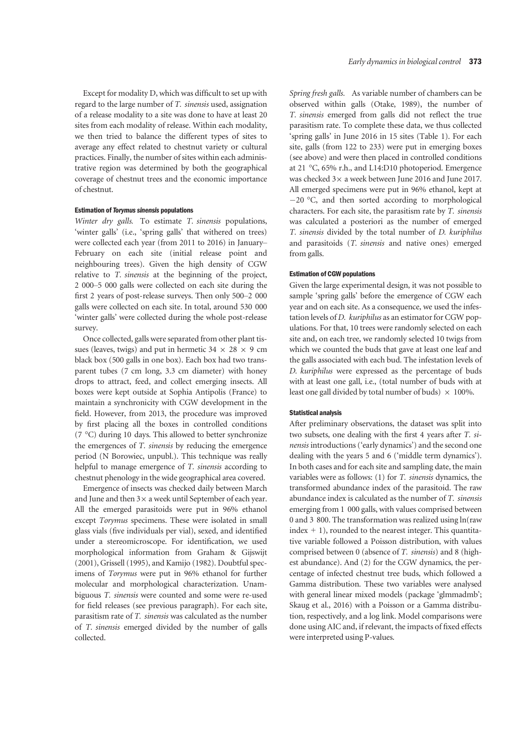Except for modality D, which was difficult to set up with regard to the large number of T. sinensis used, assignation of a release modality to a site was done to have at least 20 sites from each modality of release. Within each modality, we then tried to balance the different types of sites to average any effect related to chestnut variety or cultural practices. Finally, the number of sites within each administrative region was determined by both the geographical coverage of chestnut trees and the economic importance of chestnut.

### Estimation of Torymus sinensis populations

Winter dry galls. To estimate T. sinensis populations, 'winter galls' (i.e., 'spring galls' that withered on trees) were collected each year (from 2011 to 2016) in January– February on each site (initial release point and neighbouring trees). Given the high density of CGW relative to T. sinensis at the beginning of the project, 2 000–5 000 galls were collected on each site during the first 2 years of post-release surveys. Then only 500–2 000 galls were collected on each site. In total, around 530 000 'winter galls' were collected during the whole post-release survey.

Once collected, galls were separated from other plant tissues (leaves, twigs) and put in hermetic  $34 \times 28 \times 9$  cm black box (500 galls in one box). Each box had two transparent tubes (7 cm long, 3.3 cm diameter) with honey drops to attract, feed, and collect emerging insects. All boxes were kept outside at Sophia Antipolis (France) to maintain a synchronicity with CGW development in the field. However, from 2013, the procedure was improved by first placing all the boxes in controlled conditions (7 °C) during 10 days. This allowed to better synchronize the emergences of T. sinensis by reducing the emergence period (N Borowiec, unpubl.). This technique was really helpful to manage emergence of T. sinensis according to chestnut phenology in the wide geographical area covered.

Emergence of insects was checked daily between March and June and then  $3\times$  a week until September of each year. All the emerged parasitoids were put in 96% ethanol except Torymus specimens. These were isolated in small glass vials (five individuals per vial), sexed, and identified under a stereomicroscope. For identification, we used morphological information from Graham & Gijswijt (2001), Grissell (1995), and Kamijo (1982). Doubtful specimens of Torymus were put in 96% ethanol for further molecular and morphological characterization. Unambiguous T. sinensis were counted and some were re-used for field releases (see previous paragraph). For each site, parasitism rate of T. sinensis was calculated as the number of T. sinensis emerged divided by the number of galls collected.

Spring fresh galls. As variable number of chambers can be observed within galls (Otake, 1989), the number of T. sinensis emerged from galls did not reflect the true parasitism rate. To complete these data, we thus collected 'spring galls' in June 2016 in 15 sites (Table 1). For each site, galls (from 122 to 233) were put in emerging boxes (see above) and were then placed in controlled conditions at 21 °C, 65% r.h., and L14:D10 photoperiod. Emergence was checked  $3\times$  a week between June 2016 and June 2017. All emerged specimens were put in 96% ethanol, kept at  $-20$  °C, and then sorted according to morphological characters. For each site, the parasitism rate by T. sinensis was calculated a posteriori as the number of emerged T. sinensis divided by the total number of D. kuriphilus and parasitoids (T. sinensis and native ones) emerged from galls.

### Estimation of CGW populations

Given the large experimental design, it was not possible to sample 'spring galls' before the emergence of CGW each year and on each site. As a consequence, we used the infestation levels of D. kuriphilus as an estimator for CGW populations. For that, 10 trees were randomly selected on each site and, on each tree, we randomly selected 10 twigs from which we counted the buds that gave at least one leaf and the galls associated with each bud. The infestation levels of D. kuriphilus were expressed as the percentage of buds with at least one gall, i.e., (total number of buds with at least one gall divided by total number of buds)  $\times$  100%.

#### Statistical analysis

After preliminary observations, the dataset was split into two subsets, one dealing with the first 4 years after T. sinensis introductions ('early dynamics') and the second one dealing with the years 5 and 6 ('middle term dynamics'). In both cases and for each site and sampling date, the main variables were as follows: (1) for T. sinensis dynamics, the transformed abundance index of the parasitoid. The raw abundance index is calculated as the number of T. sinensis emerging from 1 000 galls, with values comprised between 0 and 3 800. The transformation was realized using ln(raw  $index + 1$ , rounded to the nearest integer. This quantitative variable followed a Poisson distribution, with values comprised between 0 (absence of T. sinensis) and 8 (highest abundance). And (2) for the CGW dynamics, the percentage of infected chestnut tree buds, which followed a Gamma distribution. These two variables were analysed with general linear mixed models (package 'glmmadmb'; Skaug et al., 2016) with a Poisson or a Gamma distribution, respectively, and a log link. Model comparisons were done using AIC and, if relevant, the impacts of fixed effects were interpreted using P-values.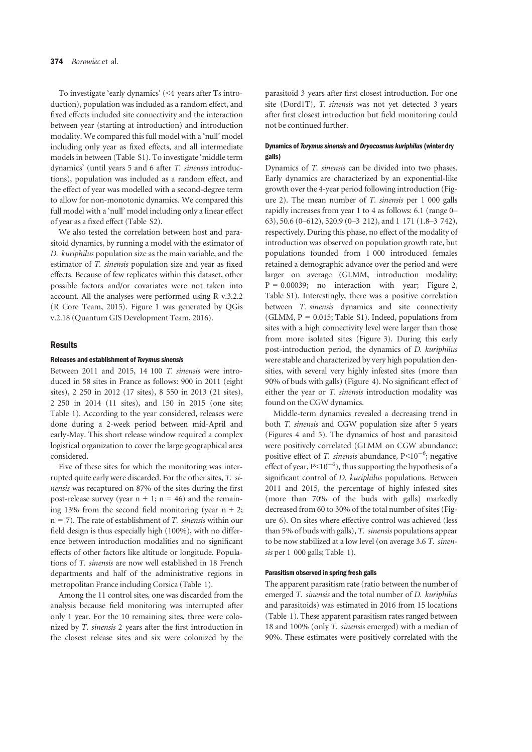To investigate 'early dynamics' (<4 years after Ts introduction), population was included as a random effect, and fixed effects included site connectivity and the interaction between year (starting at introduction) and introduction modality. We compared this full model with a 'null' model including only year as fixed effects, and all intermediate models in between (Table S1). To investigate 'middle term dynamics' (until years 5 and 6 after T. sinensis introductions), population was included as a random effect, and the effect of year was modelled with a second-degree term to allow for non-monotonic dynamics. We compared this full model with a 'null' model including only a linear effect of year as a fixed effect (Table S2).

We also tested the correlation between host and parasitoid dynamics, by running a model with the estimator of D. kuriphilus population size as the main variable, and the estimator of T. sinensis population size and year as fixed effects. Because of few replicates within this dataset, other possible factors and/or covariates were not taken into account. All the analyses were performed using R v.3.2.2 (R Core Team, 2015). Figure 1 was generated by QGis v.2.18 (Quantum GIS Development Team, 2016).

#### Results

#### Releases and establishment of Torymus sinensis

Between 2011 and 2015, 14 100 T. sinensis were introduced in 58 sites in France as follows: 900 in 2011 (eight sites), 2 250 in 2012 (17 sites), 8 550 in 2013 (21 sites), 2 250 in 2014 (11 sites), and 150 in 2015 (one site; Table 1). According to the year considered, releases were done during a 2-week period between mid-April and early-May. This short release window required a complex logistical organization to cover the large geographical area considered.

Five of these sites for which the monitoring was interrupted quite early were discarded. For the other sites, T. sinensis was recaptured on 87% of the sites during the first post-release survey (year  $n + 1$ ;  $n = 46$ ) and the remaining 13% from the second field monitoring (year  $n + 2$ ;  $n = 7$ ). The rate of establishment of *T*. *sinensis* within our field design is thus especially high (100%), with no difference between introduction modalities and no significant effects of other factors like altitude or longitude. Populations of T. sinensis are now well established in 18 French departments and half of the administrative regions in metropolitan France including Corsica (Table 1).

Among the 11 control sites, one was discarded from the analysis because field monitoring was interrupted after only 1 year. For the 10 remaining sites, three were colonized by T. sinensis 2 years after the first introduction in the closest release sites and six were colonized by the parasitoid 3 years after first closest introduction. For one site (Dord1T), T. sinensis was not yet detected 3 years after first closest introduction but field monitoring could not be continued further.

# Dynamics of Torymus sinensis and Dryocosmus kuriphilus(winter dry galls)

Dynamics of T. sinensis can be divided into two phases. Early dynamics are characterized by an exponential-like growth over the 4-year period following introduction (Figure 2). The mean number of T. sinensis per 1 000 galls rapidly increases from year 1 to 4 as follows: 6.1 (range 0– 63), 50.6 (0–612), 520.9 (0–3 212), and 1 171 (1.8–3 742), respectively. During this phase, no effect of the modality of introduction was observed on population growth rate, but populations founded from 1 000 introduced females retained a demographic advance over the period and were larger on average (GLMM, introduction modality:  $P = 0.00039$ ; no interaction with year; Figure 2, Table S1). Interestingly, there was a positive correlation between T. sinensis dynamics and site connectivity (GLMM,  $P = 0.015$ ; Table S1). Indeed, populations from sites with a high connectivity level were larger than those from more isolated sites (Figure 3). During this early post-introduction period, the dynamics of D. kuriphilus were stable and characterized by very high population densities, with several very highly infested sites (more than 90% of buds with galls) (Figure 4). No significant effect of either the year or T. sinensis introduction modality was found on the CGW dynamics.

Middle-term dynamics revealed a decreasing trend in both T. sinensis and CGW population size after 5 years (Figures 4 and 5). The dynamics of host and parasitoid were positively correlated (GLMM on CGW abundance: positive effect of T. sinensis abundance,  $P<10^{-6}$ ; negative effect of year,  $P \le 10^{-6}$ ), thus supporting the hypothesis of a significant control of *D. kuriphilus* populations. Between 2011 and 2015, the percentage of highly infested sites (more than 70% of the buds with galls) markedly decreased from 60 to 30% of the total number of sites (Figure 6). On sites where effective control was achieved (less than 5% of buds with galls), T. sinensis populations appear to be now stabilized at a low level (on average 3.6 T. sinensis per 1 000 galls; Table 1).

#### Parasitism observed in spring fresh galls

The apparent parasitism rate (ratio between the number of emerged T. sinensis and the total number of D. kuriphilus and parasitoids) was estimated in 2016 from 15 locations (Table 1). These apparent parasitism rates ranged between 18 and 100% (only T. sinensis emerged) with a median of 90%. These estimates were positively correlated with the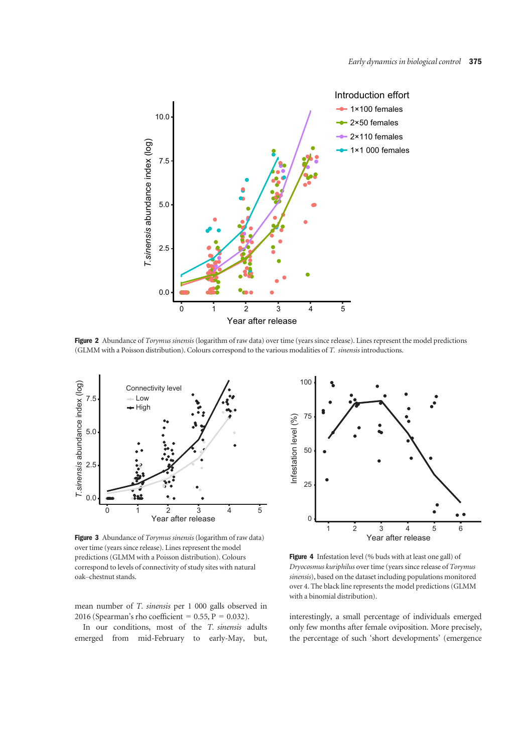

Figure 2 Abundance of Torymus sinensis (logarithm of raw data) over time (years since release). Lines represent the model predictions (GLMM with a Poisson distribution). Colours correspond to the various modalities of T. sinensis introductions.



Figure 3 Abundance of Torymus sinensis (logarithm of raw data) over time (years since release). Lines represent the model predictions (GLMM with a Poisson distribution). Colours correspond to levels of connectivity of study sites with natural oak–chestnut stands.

mean number of T. sinensis per 1 000 galls observed in 2016 (Spearman's rho coefficient =  $0.55$ , P =  $0.032$ ).

In our conditions, most of the T. sinensis adults emerged from mid-February to early-May, but,



Figure 4 Infestation level (% buds with at least one gall) of Dryocosmus kuriphilus over time (years since release of Torymus sinensis), based on the dataset including populations monitored over 4. The black line represents the model predictions (GLMM with a binomial distribution).

interestingly, a small percentage of individuals emerged only few months after female oviposition. More precisely, the percentage of such 'short developments' (emergence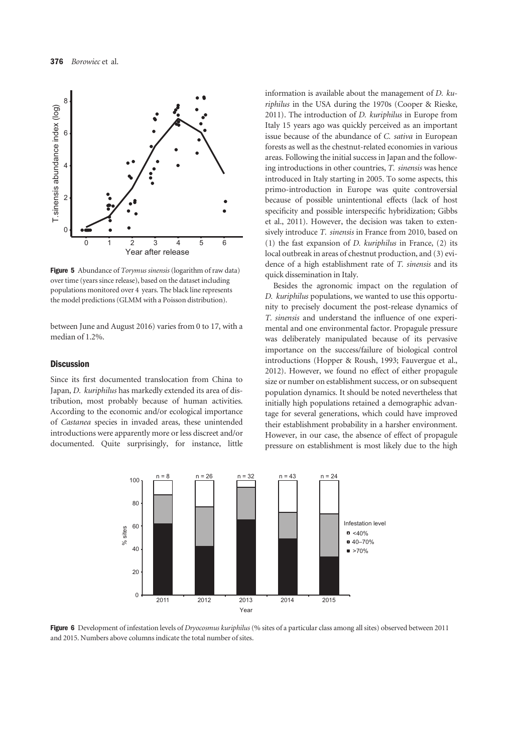

Figure 5 Abundance of *Torymus sinensis* (logarithm of raw data) over time (years since release), based on the dataset including populations monitored over 4 years. The black line represents the model predictions (GLMM with a Poisson distribution).

between June and August 2016) varies from 0 to 17, with a median of 1.2%.

# **Discussion**

Since its first documented translocation from China to Japan, D. kuriphilus has markedly extended its area of distribution, most probably because of human activities. According to the economic and/or ecological importance of Castanea species in invaded areas, these unintended introductions were apparently more or less discreet and/or documented. Quite surprisingly, for instance, little

information is available about the management of D. kuriphilus in the USA during the 1970s (Cooper & Rieske, 2011). The introduction of D. kuriphilus in Europe from Italy 15 years ago was quickly perceived as an important issue because of the abundance of C. sativa in European forests as well as the chestnut-related economies in various areas. Following the initial success in Japan and the following introductions in other countries, T. sinensis was hence introduced in Italy starting in 2005. To some aspects, this primo-introduction in Europe was quite controversial because of possible unintentional effects (lack of host specificity and possible interspecific hybridization; Gibbs et al., 2011). However, the decision was taken to extensively introduce T. sinensis in France from 2010, based on (1) the fast expansion of *D. kuriphilus* in France,  $(2)$  its local outbreak in areas of chestnut production, and (3) evidence of a high establishment rate of T. sinensis and its quick dissemination in Italy.

Besides the agronomic impact on the regulation of D. kuriphilus populations, we wanted to use this opportunity to precisely document the post-release dynamics of T. sinensis and understand the influence of one experimental and one environmental factor. Propagule pressure was deliberately manipulated because of its pervasive importance on the success/failure of biological control introductions (Hopper & Roush, 1993; Fauvergue et al., 2012). However, we found no effect of either propagule size or number on establishment success, or on subsequent population dynamics. It should be noted nevertheless that initially high populations retained a demographic advantage for several generations, which could have improved their establishment probability in a harsher environment. However, in our case, the absence of effect of propagule pressure on establishment is most likely due to the high



Figure 6 Development of infestation levels of Dryocosmus kuriphilus (% sites of a particular class among all sites) observed between 2011 and 2015. Numbers above columns indicate the total number of sites.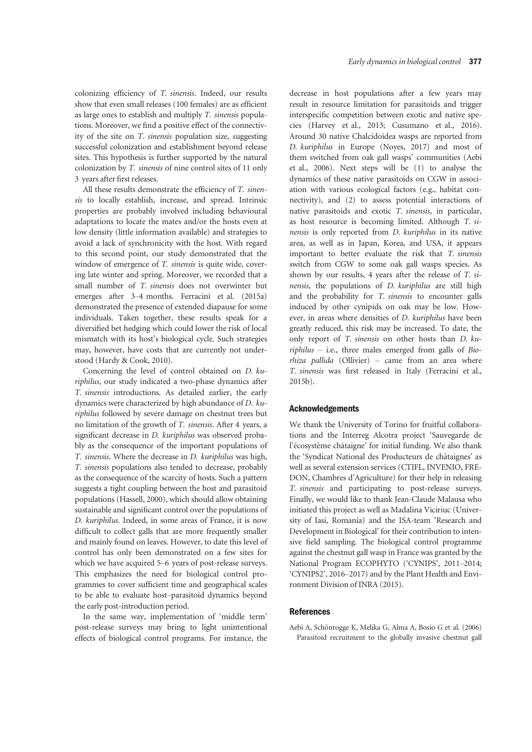colonizing efficiency of T. sinensis. Indeed, our results show that even small releases (100 females) are as efficient as large ones to establish and multiply T. sinensis populations. Moreover, we find a positive effect of the connectivity of the site on T. sinensis population size, suggesting successful colonization and establishment beyond release sites. This hypothesis is further supported by the natural colonization by T. sinensis of nine control sites of 11 only 3 years after first releases.

All these results demonstrate the efficiency of T. sinensis to locally establish, increase, and spread. Intrinsic properties are probably involved including behavioural adaptations to locate the mates and/or the hosts even at low density (little information available) and strategies to avoid a lack of synchronicity with the host. With regard to this second point, our study demonstrated that the window of emergence of T. sinensis is quite wide, covering late winter and spring. Moreover, we recorded that a small number of T. sinensis does not overwinter but emerges after 3–4 months. Ferracini et al. (2015a) demonstrated the presence of extended diapause for some individuals. Taken together, these results speak for a diversified bet hedging which could lower the risk of local mismatch with its host's biological cycle. Such strategies may, however, have costs that are currently not understood (Hardy & Cook, 2010).

Concerning the level of control obtained on D. kuriphilus, our study indicated a two-phase dynamics after T. sinensis introductions. As detailed earlier, the early dynamics were characterized by high abundance of D. kuriphilus followed by severe damage on chestnut trees but no limitation of the growth of T. sinensis. After 4 years, a significant decrease in *D. kuriphilus* was observed probably as the consequence of the important populations of T. sinensis. Where the decrease in D. kuriphilus was high, T. sinensis populations also tended to decrease, probably as the consequence of the scarcity of hosts. Such a pattern suggests a tight coupling between the host and parasitoid populations (Hassell, 2000), which should allow obtaining sustainable and significant control over the populations of D. kuriphilus. Indeed, in some areas of France, it is now difficult to collect galls that are more frequently smaller and mainly found on leaves. However, to date this level of control has only been demonstrated on a few sites for which we have acquired 5–6 years of post-release surveys. This emphasizes the need for biological control programmes to cover sufficient time and geographical scales to be able to evaluate host–parasitoid dynamics beyond the early post-introduction period.

In the same way, implementation of 'middle term' post-release surveys may bring to light unintentional effects of biological control programs. For instance, the decrease in host populations after a few years may result in resource limitation for parasitoids and trigger interspecific competition between exotic and native species (Harvey et al., 2013; Cusumano et al., 2016). Around 30 native Chalcidoidea wasps are reported from D. kuriphilus in Europe (Noyes, 2017) and most of them switched from oak gall wasps' communities (Aebi et al., 2006). Next steps will be (1) to analyse the dynamics of these native parasitoids on CGW in association with various ecological factors (e.g., habitat connectivity), and (2) to assess potential interactions of native parasitoids and exotic T. sinensis, in particular, as host resource is becoming limited. Although T. sinensis is only reported from D. kuriphilus in its native area, as well as in Japan, Korea, and USA, it appears important to better evaluate the risk that T. sinensis switch from CGW to some oak gall wasps species. As shown by our results, 4 years after the release of T. sinensis, the populations of D. kuriphilus are still high and the probability for T. sinensis to encounter galls induced by other cynipids on oak may be low. However, in areas where densities of D. kuriphilus have been greatly reduced, this risk may be increased. To date, the only report of T. sinensis on other hosts than D. ku $riphilus$  – i.e., three males emerged from galls of Biorhiza pallida (Ollivier) – came from an area where T. sinensis was first released in Italy (Ferracini et al., 2015b).

# Acknowledgements

We thank the University of Torino for fruitful collaborations and the Interreg Alcotra project 'Sauvegarde de l'écosystème châtaigne' for initial funding. We also thank the 'Syndicat National des Producteurs de ch^ataignes' as well as several extension services (CTIFL, INVENIO, FRE-DON, Chambres d'Agriculture) for their help in releasing T. sinensis and participating to post-release surveys. Finally, we would like to thank Jean-Claude Malausa who initiated this project as well as Madalina Viciriuc (University of Iasi, Romania) and the ISA-team 'Research and Development in Biological' for their contribution to intensive field sampling. The biological control programme against the chestnut gall wasp in France was granted by the National Program ECOPHYTO ('CYNIPS', 2011–2014; 'CYNIPS2', 2016–2017) and by the Plant Health and Environment Division of INRA (2015).

# **References**

Aebi A, Schönrogge K, Melika G, Alma A, Bosio G et al. (2006) Parasitoid recruitment to the globally invasive chestnut gall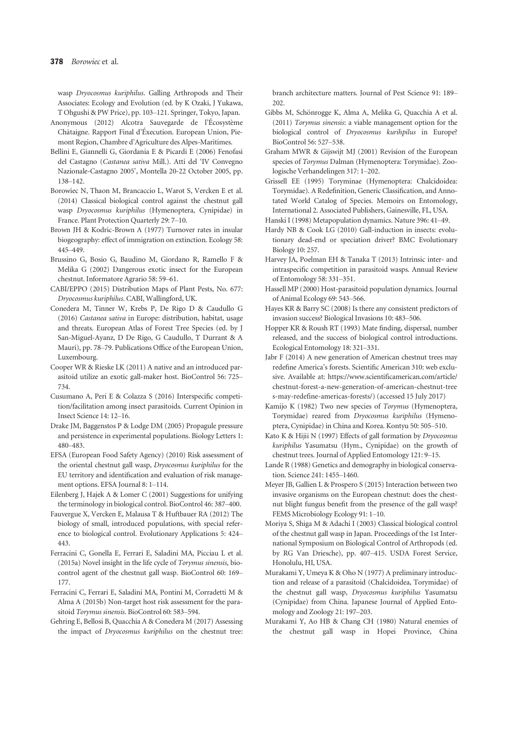wasp Dryocosmus kuriphilus. Galling Arthropods and Their Associates: Ecology and Evolution (ed. by K Ozaki, J Yukawa, T Ohgushi & PW Price), pp. 103–121. Springer, Tokyo, Japan.

- Anonymous (2012) Alcotra Sauvegarde de l'Écosystème Châtaigne. Rapport Final d'Éxecution. European Union, Piemont Region, Chambre d'Agriculture des Alpes-Maritimes.
- Bellini E, Giannelli G, Giordania E & Picardi E (2006) Fenofasi del Castagno (Castanea sativa Mill.). Atti del 'IV Convegno Nazionale-Castagno 2005', Montella 20-22 October 2005, pp. 138–142.
- Borowiec N, Thaon M, Brancaccio L, Warot S, Vercken E et al. (2014) Classical biological control against the chestnut gall wasp Dryocosmus kuriphilus (Hymenoptera, Cynipidae) in France. Plant Protection Quarterly 29: 7–10.
- Brown JH & Kodric-Brown A (1977) Turnover rates in insular biogeography: effect of immigration on extinction. Ecology 58: 445–449.
- Brussino G, Bosio G, Baudino M, Giordano R, Ramello F & Melika G (2002) Dangerous exotic insect for the European chestnut. Informatore Agrario 58: 59–61.
- CABI/EPPO (2015) Distribution Maps of Plant Pests, No. 677: Dryocosmus kuriphilus. CABI, Wallingford, UK.
- Conedera M, Tinner W, Krebs P, De Rigo D & Caudullo G (2016) Castanea sativa in Europe: distribution, habitat, usage and threats. European Atlas of Forest Tree Species (ed. by J San-Miguel-Ayanz, D De Rigo, G Caudullo, T Durrant & A Mauri), pp. 78–79. Publications Office of the European Union, Luxembourg.
- Cooper WR & Rieske LK (2011) A native and an introduced parasitoid utilize an exotic gall-maker host. BioControl 56: 725– 734.
- Cusumano A, Peri E & Colazza S (2016) Interspecific competition/facilitation among insect parasitoids. Current Opinion in Insect Science 14: 12–16.
- Drake JM, Baggenstos P & Lodge DM (2005) Propagule pressure and persistence in experimental populations. Biology Letters 1: 480–483.
- EFSA (European Food Safety Agency) (2010) Risk assessment of the oriental chestnut gall wasp, Dryocosmus kuriphilus for the EU territory and identification and evaluation of risk management options. EFSA Journal 8: 1–114.
- Eilenberg J, Hajek A & Lomer C (2001) Suggestions for unifying the terminology in biological control. BioControl 46: 387–400.
- Fauvergue X, Vercken E, Malausa T & Huftbauer RA (2012) The biology of small, introduced populations, with special reference to biological control. Evolutionary Applications 5: 424– 443.
- Ferracini C, Gonella E, Ferrari E, Saladini MA, Picciau L et al. (2015a) Novel insight in the life cycle of Torymus sinensis, biocontrol agent of the chestnut gall wasp. BioControl 60: 169– 177.
- Ferracini C, Ferrari E, Saladini MA, Pontini M, Corradetti M & Alma A (2015b) Non-target host risk assessment for the parasitoid Torymus sinensis. BioControl 60: 583–594.
- Gehring E, Bellosi B, Quacchia A & Conedera M (2017) Assessing the impact of Dryocosmus kuriphilus on the chestnut tree:

branch architecture matters. Journal of Pest Science 91: 189– 202.

- Gibbs M, Schönrogge K, Alma A, Melika G, Quacchia A et al. (2011) Torymus sinensis: a viable management option for the biological control of Dryocosmus kurihpilus in Europe? BioControl 56: 527–538.
- Graham MWR & Gijswijt MJ (2001) Revision of the European species of Torymus Dalman (Hymenoptera: Torymidae). Zoologische Verhandelingen 317: 1–202.
- Grissell EE (1995) Toryminae (Hymenoptera: Chalcidoidea: Torymidae). A Redefinition, Generic Classification, and Annotated World Catalog of Species. Memoirs on Entomology, International 2. Associated Publishers, Gainesville, FL, USA.
- Hanski I (1998) Metapopulation dynamics. Nature 396: 41–49.
- Hardy NB & Cook LG (2010) Gall-induction in insects: evolutionary dead-end or speciation driver? BMC Evolutionary Biology 10: 257.
- Harvey JA, Poelman EH & Tanaka T (2013) Intrinsic inter- and intraspecific competition in parasitoid wasps. Annual Review of Entomology 58: 331–351.
- Hassell MP (2000) Host-parasitoid population dynamics. Journal of Animal Ecology 69: 543–566.
- Hayes KR & Barry SC (2008) Is there any consistent predictors of invasion success? Biological Invasions 10: 483–506.
- Hopper KR & Roush RT (1993) Mate finding, dispersal, number released, and the success of biological control introductions. Ecological Entomology 18: 321–331.
- Jabr F (2014) A new generation of American chestnut trees may redefine America's forests. Scientific American 310: web exclusive. Available at: [https://www.scientificamerican.com/article/](https://www.scientificamerican.com/article/chestnut-forest-a-new-generation-of-american-chestnut-trees-may-redefine-americas-forests/) [chestnut-forest-a-new-generation-of-american-chestnut-tree](https://www.scientificamerican.com/article/chestnut-forest-a-new-generation-of-american-chestnut-trees-may-redefine-americas-forests/) [s-may-redefine-americas-forests/\)](https://www.scientificamerican.com/article/chestnut-forest-a-new-generation-of-american-chestnut-trees-may-redefine-americas-forests/) (accessed 15 July 2017)
- Kamijo K (1982) Two new species of Torymus (Hymenoptera, Torymidae) reared from Dryocosmus kuriphilus (Hymenoptera, Cynipidae) in China and Korea. Kontyu 50: 505–510.
- Kato K & Hijii N (1997) Effects of gall formation by Dryocosmus kuriphilus Yasumatsu (Hym., Cynipidae) on the growth of chestnut trees. Journal of Applied Entomology 121: 9–15.
- Lande R (1988) Genetics and demography in biological conservation. Science 241: 1455–1460.
- Meyer JB, Gallien L & Prospero S (2015) Interaction between two invasive organisms on the European chestnut: does the chestnut blight fungus benefit from the presence of the gall wasp? FEMS Microbiology Ecology 91: 1–10.
- Moriya S, Shiga M & Adachi I (2003) Classical biological control of the chestnut gall wasp in Japan. Proceedings of the 1st International Symposium on Biological Control of Arthropods (ed. by RG Van Driesche), pp. 407–415. USDA Forest Service, Honolulu, HI, USA.
- Murakami Y, Umeya K & Oho N (1977) A preliminary introduction and release of a parasitoid (Chalcidoidea, Torymidae) of the chestnut gall wasp, Dryocosmus kuriphilus Yasumatsu (Cynipidae) from China. Japanese Journal of Applied Entomology and Zoology 21: 197–203.
- Murakami Y, Ao HB & Chang CH (1980) Natural enemies of the chestnut gall wasp in Hopei Province, China